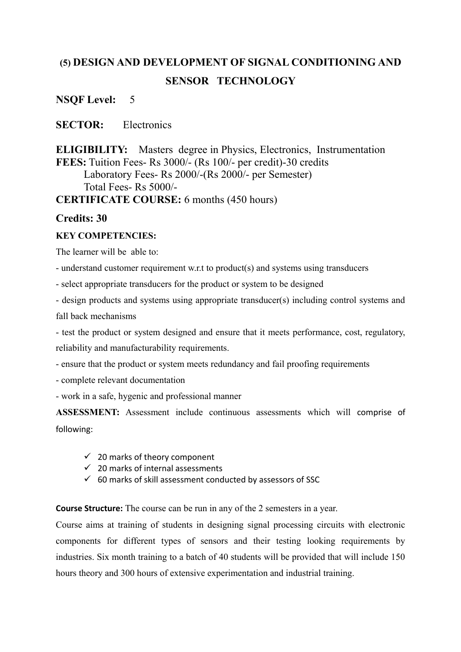# **(5) DESIGN AND DEVELOPMENT OF SIGNAL CONDITIONING AND SENSOR TECHNOLOGY**

**NSQF Level:** 5

**SECTOR:** Electronics

**ELIGIBILITY:** Masters degree in Physics, Electronics, Instrumentation **FEES:** Tuition Fees- Rs 3000/- (Rs 100/- per credit)-30 credits Laboratory Fees- Rs 2000/-(Rs 2000/- per Semester) Total Fees- Rs 5000/-

**CERTIFICATE COURSE:** 6 months (450 hours)

## **Credits: 30**

## **KEY COMPETENCIES:**

The learner will be able to:

- understand customer requirement w.r.t to product(s) and systems using transducers
- select appropriate transducers for the product or system to be designed

- design products and systems using appropriate transducer(s) including control systems and fall back mechanisms

- test the product or system designed and ensure that it meets performance, cost, regulatory, reliability and manufacturability requirements.

- ensure that the product or system meets redundancy and fail proofing requirements

- complete relevant documentation
- work in a safe, hygenic and professional manner

**ASSESSMENT:** Assessment include continuous assessments which will comprise of following:

- $\checkmark$  20 marks of theory component
- $\checkmark$  20 marks of internal assessments
- $60$  marks of skill assessment conducted by assessors of SSC

**Course Structure:** The course can be run in any of the 2 semesters in a year.

Course aims at training of students in designing signal processing circuits with electronic components for different types of sensors and their testing looking requirements by industries. Six month training to a batch of 40 students will be provided that will include 150 hours theory and 300 hours of extensive experimentation and industrial training.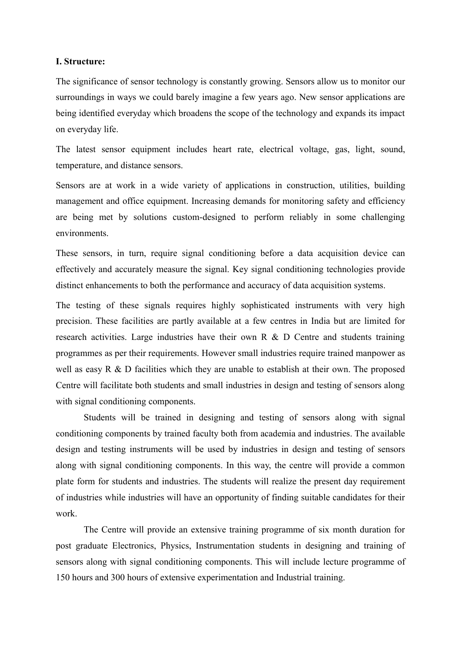#### **I. Structure:**

The significance of sensor technology is constantly growing. Sensors allow us to monitor our surroundings in ways we could barely imagine a few years ago. New sensor applications are being identified everyday which broadens the scope of the technology and expands its impact on everyday life.

The latest sensor equipment includes heart rate, electrical voltage, gas, light, sound, temperature, and distance sensors.

Sensors are at work in a wide variety of applications in construction, utilities, building management and office equipment. Increasing demands for monitoring safety and efficiency are being met by solutions custom-designed to perform reliably in some challenging environments.

These sensors, in turn, require signal conditioning before a data acquisition device can effectively and accurately measure the signal. Key signal conditioning technologies provide distinct enhancements to both the performance and accuracy of data acquisition systems.

The testing of these signals requires highly sophisticated instruments with very high precision. These facilities are partly available at a few centres in India but are limited for research activities. Large industries have their own R & D Centre and students training programmes as per their requirements. However small industries require trained manpower as well as easy R  $\&$  D facilities which they are unable to establish at their own. The proposed Centre will facilitate both students and small industries in design and testing of sensors along with signal conditioning components.

Students will be trained in designing and testing of sensors along with signal conditioning components by trained faculty both from academia and industries. The available design and testing instruments will be used by industries in design and testing of sensors along with signal conditioning components. In this way, the centre will provide a common plate form for students and industries. The students will realize the present day requirement of industries while industries will have an opportunity of finding suitable candidates for their work.

The Centre will provide an extensive training programme of six month duration for post graduate Electronics, Physics, Instrumentation students in designing and training of sensors along with signal conditioning components. This will include lecture programme of 150 hours and 300 hours of extensive experimentation and Industrial training.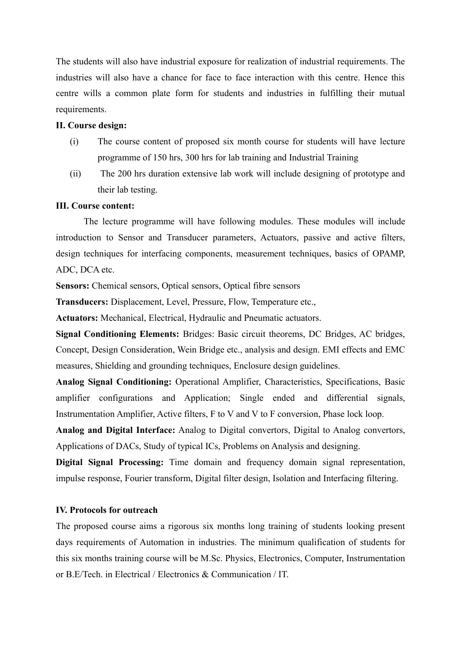The students will also have industrial exposure for realization of industrial requirements. The industries will also have a chance for face to face interaction with this centre. Hence this centre wills a common plate form for students and industries in fulfilling their mutual requirements.

#### **II. Course design:**

- (i) The course content of proposed six month course for students will have lecture programme of 150 hrs, 300 hrs for lab training and Industrial Training
- (ii) The 200 hrs duration extensive lab work will include designing of prototype and their lab testing.

#### **III. Course content:**

The lecture programme will have following modules. These modules will include introduction to Sensor and Transducer parameters, Actuators, passive and active filters, design techniques for interfacing components, measurement techniques, basics of OPAMP, ADC, DCA etc.

**Sensors:** Chemical sensors, Optical sensors, Optical fibre sensors

**Transducers:** Displacement, Level, Pressure, Flow, Temperature etc.,

**Actuators:** Mechanical, Electrical, Hydraulic and Pneumatic actuators.

**Signal Conditioning Elements:** Bridges: Basic circuit theorems, DC Bridges, AC bridges, Concept, Design Consideration, Wein Bridge etc., analysis and design. EMI effects and EMC measures, Shielding and grounding techniques, Enclosure design guidelines.

**Analog Signal Conditioning:** Operational Amplifier, Characteristics, Specifications, Basic amplifier configurations and Application; Single ended and differential signals, Instrumentation Amplifier, Active filters, F to V and V to F conversion, Phase lock loop.

**Analog and Digital Interface:** Analog to Digital convertors, Digital to Analog convertors, Applications of DACs, Study of typical ICs, Problems on Analysis and designing.

**Digital Signal Processing:** Time domain and frequency domain signal representation, impulse response, Fourier transform, Digital filter design, Isolation and Interfacing filtering.

#### **IV. Protocols for outreach**

The proposed course aims a rigorous six months long training of students looking present days requirements of Automation in industries. The minimum qualification of students for this six months training course will be M.Sc. Physics, Electronics, Computer, Instrumentation or B.E/Tech. in Electrical / Electronics & Communication / IT.